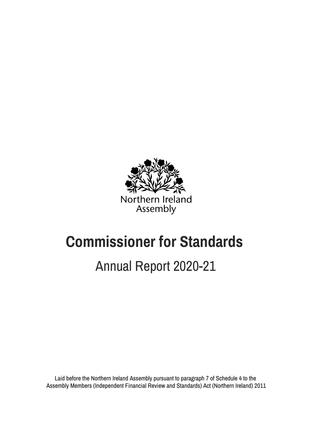

# **Commissioner for Standards**

# Annual Report 2020-21

Laid before the Northern Ireland Assembly pursuant to paragraph 7 of Schedule 4 to the Assembly Members (Independent Financial Review and Standards) Act (Northern Ireland) 2011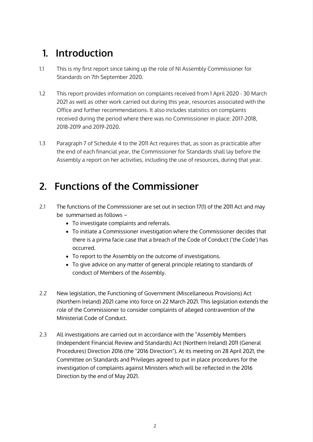# **1. Introduction**

- 1.1 This is my first report since taking up the role of NI Assembly Commissioner for Standards on 7th September 2020.
- 1.2 This report provides information on complaints received from 1 April 2020 30 March 2021 as well as other work carried out during this year, resources associated with the Office and further recommendations. It also includes statistics on complaints received during the period where there was no Commissioner in place: 2017-2018, 2018-2019 and 2019-2020.
- 1.3 Paragraph 7 of Schedule 4 to the 2011 Act requires that, as soon as practicable after the end of each financial year, the Commissioner for Standards shall lay before the Assembly a report on her activities, including the use of resources, during that year.

# **2. Functions of the Commissioner**

- 2.1 The functions of the Commissioner are set out in section 17(1) of the 2011 Act and may be summarised as follows –
	- To investigate complaints and referrals.
	- To initiate a Commissioner investigation where the Commissioner decides that there is a prima facie case that a breach of the Code of Conduct ('the Code') has occurred.
	- To report to the Assembly on the outcome of investigations.
	- To give advice on any matter of general principle relating to standards of conduct of Members of the Assembly.
- 2.2 New legislation, the Functioning of Government (Miscellaneous Provisions) Act (Northern Ireland) 2021 came into force on 22 March 2021. This legislation extends the role of the Commissioner to consider complaints of alleged contravention of the Ministerial Code of Conduct.
- 2.3 All investigations are carried out in accordance with the "Assembly Members (Independent Financial Review and Standards) Act (Northern Ireland) 2011 (General Procedures) Direction 2016 (the "2016 Direction"). At its meeting on 28 April 2021, the Committee on Standards and Privileges agreed to put in place procedures for the investigation of complaints against Ministers which will be reflected in the 2016 Direction by the end of May 2021.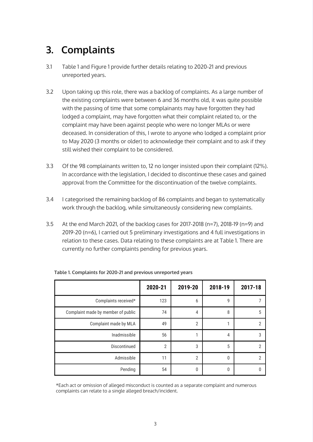# **3. Complaints**

- 3.1 Table 1 and Figure 1 provide further details relating to 2020-21 and previous unreported years.
- 3.2 Upon taking up this role, there was a backlog of complaints. As a large number of the existing complaints were between 6 and 36 months old, it was quite possible with the passing of time that some complainants may have forgotten they had lodged a complaint, may have forgotten what their complaint related to, or the complaint may have been against people who were no longer MLAs or were deceased. In consideration of this, I wrote to anyone who lodged a complaint prior to May 2020 (3 months or older) to acknowledge their complaint and to ask if they still wished their complaint to be considered.
- 3.3 Of the 98 complainants written to, 12 no longer insisted upon their complaint (12%). In accordance with the legislation, I decided to discontinue these cases and gained approval from the Committee for the discontinuation of the twelve complaints.
- 3.4 I categorised the remaining backlog of 86 complaints and began to systematically work through the backlog, while simultaneously considering new complaints.
- 3.5 At the end March 2021, of the backlog cases for 2017-2018 (n=7), 2018-19 (n=9) and 2019-20 (n=6), I carried out 5 preliminary investigations and 4 full investigations in relation to these cases. Data relating to these complaints are at Table 1. There are currently no further complaints pending for previous years.

|                                    | 2020-21        | 2019-20        | 2018-19 | 2017-18 |
|------------------------------------|----------------|----------------|---------|---------|
| Complaints received*               | 123            | 6              | 9       |         |
| Complaint made by member of public | 74             | $\overline{4}$ | 8       | 5       |
| Complaint made by MLA              | 49             | $\overline{2}$ |         | 2       |
| Inadmissible                       | 56             |                | 4       | 3       |
| Discontinued                       | $\overline{2}$ | 3              | 5       | っ       |
| Admissible                         | 11             | $\overline{2}$ | 0       | 2       |
| Pending                            | 54             | 0              | 0       |         |

**Table 1. Complaints for 2020-21 and previous unreported years**

\*Each act or omission of alleged misconduct is counted as a separate complaint and numerous complaints can relate to a single alleged breach/incident.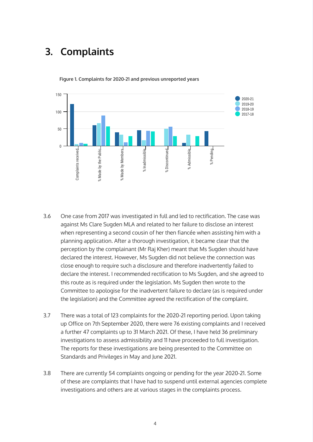### **3. Complaints**



**Figure 1. Complaints for 2020-21 and previous unreported years**

- the legislation) and the Committee agreed the rectification of the complaint. 3.6 One case from 2017 was investigated in full and led to rectification. The case was against Ms Clare Sugden MLA and related to her failure to disclose an interest when representing a second cousin of her then fiancée when assisting him with a planning application. After a thorough investigation, it became clear that the perception by the complainant (Mr Raj Kher) meant that Ms Sugden should have declared the interest. However, Ms Sugden did not believe the connection was close enough to require such a disclosure and therefore inadvertently failed to declare the interest. I recommended rectification to Ms Sugden, and she agreed to this route as is required under the legislation. Ms Sugden then wrote to the Committee to apologise for the inadvertent failure to declare (as is required under
- 3.7 There was a total of 123 complaints for the 2020-21 reporting period. Upon taking up Office on 7th September 2020, there were 76 existing complaints and I received a further 47 complaints up to 31 March 2021. Of these, I have held 36 preliminary investigations to assess admissibility and 11 have proceeded to full investigation. The reports for these investigations are being presented to the Committee on Standards and Privileges in May and June 2021.
- 3.8 There are currently 54 complaints ongoing or pending for the year 2020-21. Some of these are complaints that I have had to suspend until external agencies complete investigations and others are at various stages in the complaints process.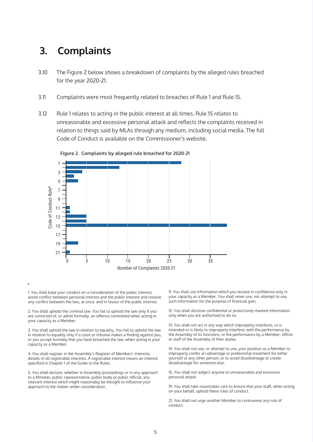#### **3. Complaints**

- 3.10 The Figure 2 below shows a breakdown of complaints by the alleged rules breached for the year 2020-21.
- 3.11 Complaints were most frequently related to breaches of Rule 1 and Rule 15.
- 3.12 Rule 1 relates to acting in the public interest at all times. Rule 15 relates to unreasonable and excessive personal attack and reflects the complaints received in relation to things said by MLAs through any medium, including social media. The full Code of Conduct is available on the Commissioner's website.



**Figure 2. Complaints by alleged rule breached for 2020-21**

1. You shall base your conduct on a consideration of the public interest, and 1. You shall use information which you receive in confidence only in avoid conflict between personal interest and the public interest and resolv avoid conflict between personal interest and the public interest and resolve your capacity as a Member. You shall never use, no<br>any conflict between the two, at once, and in favour of the public interest. Such information any conflict between the two, at once, and in favour of the public interest.

\*

2. You shall uphold the criminal law. You fail to uphold the law only if you 12. You shall disclose confidential or protectively marked information are convicted of, or admit formation are convicted of, or admit formation are convicted of, or admit formally, an offence committed when acting in your capacity as a Member.

3. You shall uphold the law in relation to equality. You fail to uphold the law intended or is likely to improperly interfere, with the performance by<br>in relation to equality only if a court or tribunal makes a finding aga in relation to equality only if a court or tribunal makes a finding against you, the Assembly of its functions, or the pe<br>or you accept formally that you have breached the law, when acting in your or staff of the Assembly or you accept formally that you have breached the law, when acting in your capacity as a Member.

4. You shall register in the Assembly's Register of Members' Interests improperly confer an advantage or preferential treatment for eit<br>details of all registrable interests. A registrable interest means an interest yoursel details of all registrable interests. A registrable interest means an interest yourself or any other person; or<br>specified in Chapter 1 of the Guide to the Rules. disadvantage for someone else. specified in Chapter 1 of the Guide to the Rules.

5. You shall declare, whether in Assembly proceedings or in any approach 15. You shall not subject anyone to unreasonable and excessive<br>to a Minister, public representative, public body or public official, any personal att to a Minister, public representative, public body or public official, any relevant interest which might reasonably be thought to influence your approach to the matter under consideration. 19. You shall take reasonable care to ensure that your staff, when acting

13. You shall not act in any way which improperly interferes, or is<br>intended or is likely to improperly interfere, with the performance by

14. You shall not use, or attempt to use, your position as a Member to improperly confer an advantage or preferential treatment for either

on your behalf, uphold these rules of conduct.

21. You shall not urge another Member to contravene any rule of conduct.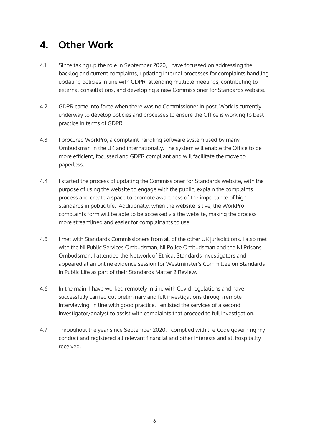# **4. Other Work**

- 4.1 Since taking up the role in September 2020, I have focussed on addressing the backlog and current complaints, updating internal processes for complaints handling, updating policies in line with GDPR, attending multiple meetings, contributing to external consultations, and developing a new Commissioner for Standards website.
- 4.2 GDPR came into force when there was no Commissioner in post. Work is currently underway to develop policies and processes to ensure the Office is working to best practice in terms of GDPR.
- 4.3 I procured WorkPro, a complaint handling software system used by many Ombudsman in the UK and internationally. The system will enable the Office to be more efficient, focussed and GDPR compliant and will facilitate the move to paperless.
- 4.4 I started the process of updating the Commissioner for Standards website, with the purpose of using the website to engage with the public, explain the complaints process and create a space to promote awareness of the importance of high standards in public life. Additionally, when the website is live, the WorkPro complaints form will be able to be accessed via the website, making the process more streamlined and easier for complainants to use.
- 4.5 I met with Standards Commissioners from all of the other UK jurisdictions. I also met with the NI Public Services Ombudsman, NI Police Ombudsman and the NI Prisons Ombudsman. I attended the Network of Ethical Standards Investigators and appeared at an online evidence session for Westminster's Committee on Standards in Public Life as part of their Standards Matter 2 Review.
- 4.6 In the main, I have worked remotely in line with Covid regulations and have successfully carried out preliminary and full investigations through remote interviewing. In line with good practice, I enlisted the services of a second investigator/analyst to assist with complaints that proceed to full investigation.
- 4.7 Throughout the year since September 2020, I complied with the Code governing my conduct and registered all relevant financial and other interests and all hospitality received.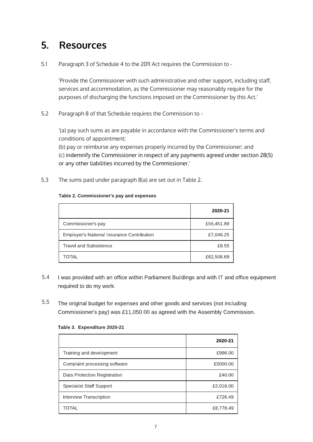#### **5. Resources**

5.1 Paragraph 3 of Schedule 4 to the 2011 Act requires the Commission to -

'Provide the Commissioner with such administrative and other support, including staff, services and accommodation, as the Commissioner may reasonably require for the purposes of discharging the functions imposed on the Commissioner by this Act.'

5.2 Paragraph 8 of that Schedule requires the Commission to -

'(a) pay such sums as are payable in accordance with the Commissioner's terms and conditions of appointment;

(b) pay or reimburse any expenses properly incurred by the Commissioner; and (c) indemnify the Commissioner in respect of any payments agreed under section 28(5) or any other liabilities incurred by the Commissioner.'

5.3 The sums paid under paragraph 8(a) are set out in Table 2.

#### Table 2. Commissioner's pay and expenses

|                                            | 2020-21    |
|--------------------------------------------|------------|
| Commissioner's pay                         | £55,451.89 |
| Employer's National Insurance Contribution | £7,046.25  |
| <b>Travel and Subsistence</b>              | £8.55      |
| TOTAL                                      | £62,506.69 |

- required to do my work. 5.4 I was provided with an office within Parliament Buildings and with IT and office equipment
- 5.5 The original budget for expenses and other goods and services (not including Commissioner's pay) was [£11,050.00](https://11,050.00) as agreed with the Assembly Commission.

|                               | 2020-21   |
|-------------------------------|-----------|
| Training and development      | £996.00   |
| Complaint processing software | £5000.00  |
| Data Protection Registration  | £40.00    |
| Specialist Staff Support      | £2,016.00 |
| Interview Transcription       | £726.49   |
| TOTAL                         | £8,778.49 |

#### Table 3. Expenditure 2020-21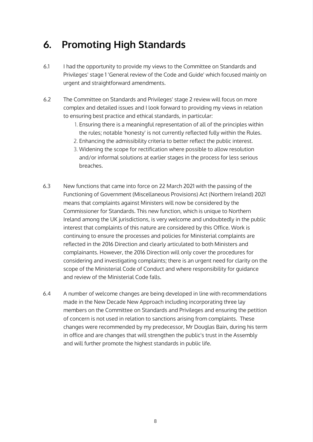# **6. Promoting High Standards**

- 6.1 I had the opportunity to provide my views to the Committee on Standards and Privileges' stage 1 'General review of the Code and Guide' which focused mainly on urgent and straightforward amendments.
- 6.2 The Committee on Standards and Privileges' stage 2 review will focus on more complex and detailed issues and I look forward to providing my views in relation to ensuring best practice and ethical standards, in particular:
	- 1. Ensuring there is a meaningful representation of all of the principles within the rules; notable 'honesty' is not currently reflected fully within the Rules.
	- 2. Enhancing the admissibility criteria to better reflect the public interest.
	- 3. Widening the scope for rectification where possible to allow resolution and/or informal solutions at earlier stages in the process for less serious breaches.
- 6.3 New functions that came into force on 22 March 2021 with the passing of the Functioning of Government (Miscellaneous Provisions) Act (Northern Ireland) 2021 means that complaints against Ministers will now be considered by the Commissioner for Standards. This new function, which is unique to Northern Ireland among the UK jurisdictions, is very welcome and undoubtedly in the public interest that complaints of this nature are considered by this Office. Work is continuing to ensure the processes and policies for Ministerial complaints are reflected in the 2016 Direction and clearly articulated to both Ministers and complainants. However, the 2016 Direction will only cover the procedures for considering and investigating complaints; there is an urgent need for clarity on the scope of the Ministerial Code of Conduct and where responsibility for guidance and review of the Ministerial Code falls.
- 6.4 A number of welcome changes are being developed in line with recommendations made in the New Decade New Approach including incorporating three lay members on the Committee on Standards and Privileges and ensuring the petition of concern is not used in relation to sanctions arising from complaints. These changes were recommended by my predecessor, Mr Douglas Bain, during his term in office and are changes that will strengthen the public's trust in the Assembly and will further promote the highest standards in public life.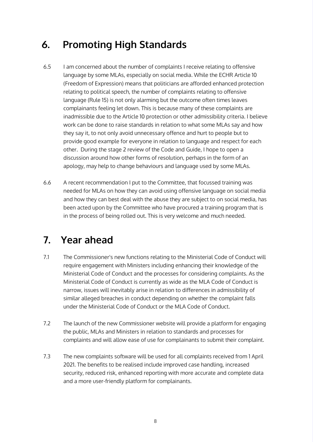# **6. Promoting High Standards**

- 6.5 I am concerned about the number of complaints I receive relating to offensive language by some MLAs, especially on social media. While the ECHR Article 10 (Freedom of Expression) means that politicians are afforded enhanced protection relating to political speech, the number of complaints relating to offensive language (Rule 15) is not only alarming but the outcome often times leaves complainants feeling let down. This is because many of these complaints are inadmissible due to the Article 10 protection or other admissibility criteria. I believe work can be done to raise standards in relation to what some MLAs say and how they say it, to not only avoid unnecessary offence and hurt to people but to provide good example for everyone in relation to language and respect for each other. During the stage 2 review of the Code and Guide, I hope to open a discussion around how other forms of resolution, perhaps in the form of an apology, may help to change behaviours and language used by some MLAs.
- 6.6 A recent recommendation I put to the Committee, that focussed training was needed for MLAs on how they can avoid using offensive language on social media and how they can best deal with the abuse they are subject to on social media, has been acted upon by the Committee who have procured a training program that is in the process of being rolled out. This is very welcome and much needed.

### **7. Year ahead**

- 7.1 The Commissioner's new functions relating to the Ministerial Code of Conduct will require engagement with Ministers including enhancing their knowledge of the Ministerial Code of Conduct and the processes for considering complaints. As the Ministerial Code of Conduct is currently as wide as the MLA Code of Conduct is narrow, issues will inevitably arise in relation to differences in admissibility of similar alleged breaches in conduct depending on whether the complaint falls under the Ministerial Code of Conduct or the MLA Code of Conduct.
- 7.2 The launch of the new Commissioner website will provide a platform for engaging the public, MLAs and Ministers in relation to standards and processes for complaints and will allow ease of use for complainants to submit their complaint.
- 7.3 The new complaints software will be used for all complaints received from 1 April 2021. The benefits to be realised include improved case handling, increased security, reduced risk, enhanced reporting with more accurate and complete data and a more user-friendly platform for complainants.